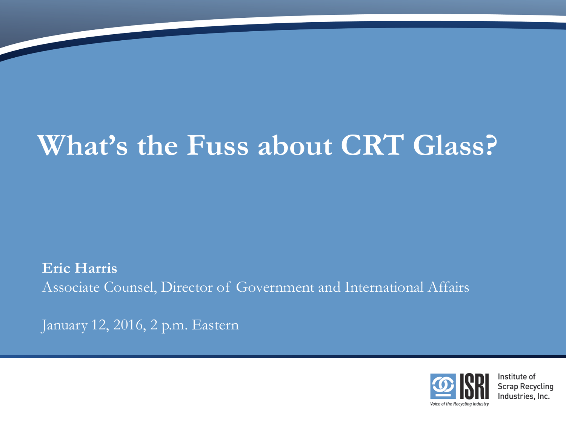# **What's the Fuss about CRT Glass?**

**Eric Harris** Associate Counsel, Director of Government and International Affairs

January 12, 2016, 2 p.m. Eastern

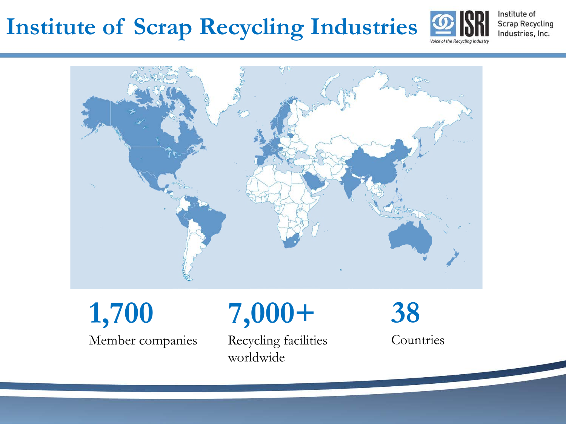

Institute of **Scrap Recycling** Industries, Inc.



**1,700** Member companies

## **7,000+**

Recycling facilities worldwide

**38 Countries**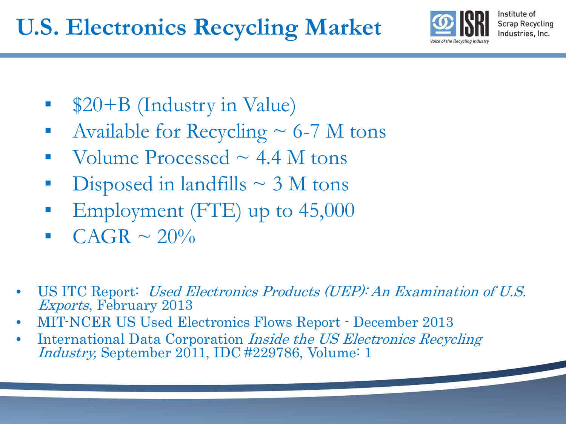

- **•** \$20+B (Industry in Value)
- **•** Available for Recycling  $\sim$  6-7 M tons
- Volume Processed  $\sim$  4.4 M tons
- Disposed in landfills  $\sim$  3 M tons
- Employment (FTE) up to  $45,000$
- $CAGR \sim 20\%$
- US ITC Report: Used Electronics Products (UEP): An Examination of U.S. Exports, February 2013
- MIT-NCER US Used Electronics Flows Report December 2013
- International Data Corporation *Inside the US Electronics Recycling* Industry, September 2011, IDC #229786, Volume: 1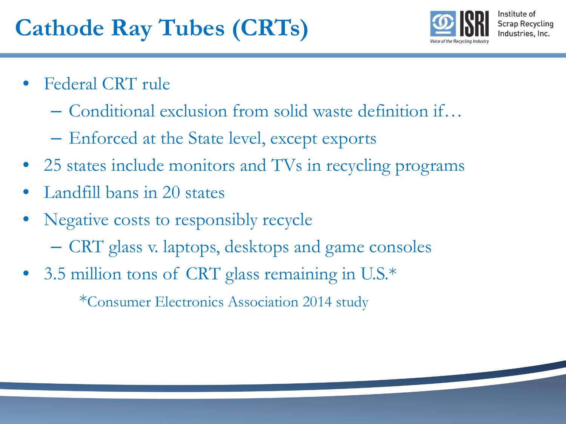

- Federal CRT rule
	- Conditional exclusion from solid waste definition if…
	- Enforced at the State level, except exports
- 25 states include monitors and TVs in recycling programs
- Landfill bans in 20 states
- Negative costs to responsibly recycle
	- CRT glass v. laptops, desktops and game consoles
- 3.5 million tons of CRT glass remaining in U.S.\*

\*Consumer Electronics Association 2014 study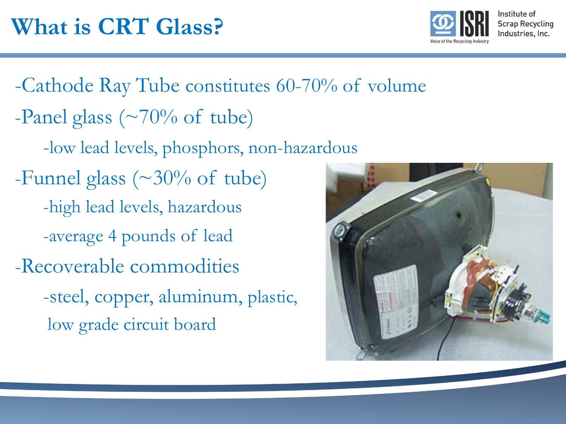

-Cathode Ray Tube constitutes 60-70% of volume -Panel glass ( $\sim$ 70% of tube) -low lead levels, phosphors, non-hazardous -Funnel glass ( $\sim$ 30% of tube) -high lead levels, hazardous -average 4 pounds of lead -Recoverable commodities -steel, copper, aluminum, plastic, low grade circuit board

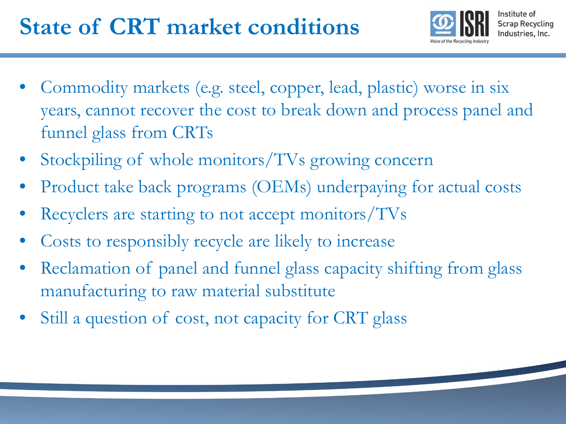

- Commodity markets (e.g. steel, copper, lead, plastic) worse in six years, cannot recover the cost to break down and process panel and funnel glass from CRTs
- Stockpiling of whole monitors/TVs growing concern
- Product take back programs (OEMs) underpaying for actual costs
- Recyclers are starting to not accept monitors/TVs
- Costs to responsibly recycle are likely to increase
- Reclamation of panel and funnel glass capacity shifting from glass manufacturing to raw material substitute
- Still a question of cost, not capacity for CRT glass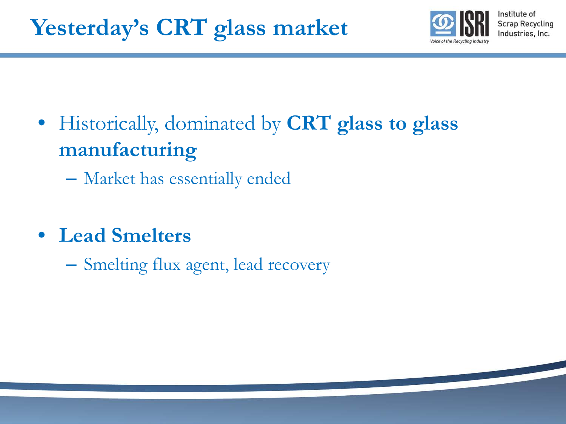

- Historically, dominated by **CRT glass to glass manufacturing**
	- Market has essentially ended
- **Lead Smelters**
	- Smelting flux agent, lead recovery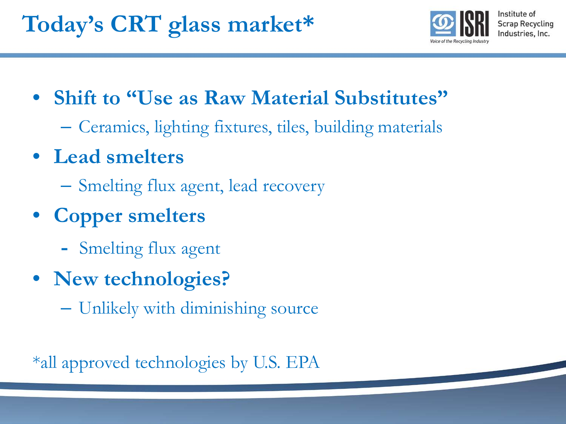

- **Shift to "Use as Raw Material Substitutes"**
	- Ceramics, lighting fixtures, tiles, building materials
- **Lead smelters**
	- Smelting flux agent, lead recovery
- **Copper smelters** 
	- Smelting flux agent
- **New technologies?** 
	- Unlikely with diminishing source

\*all approved technologies by U.S. EPA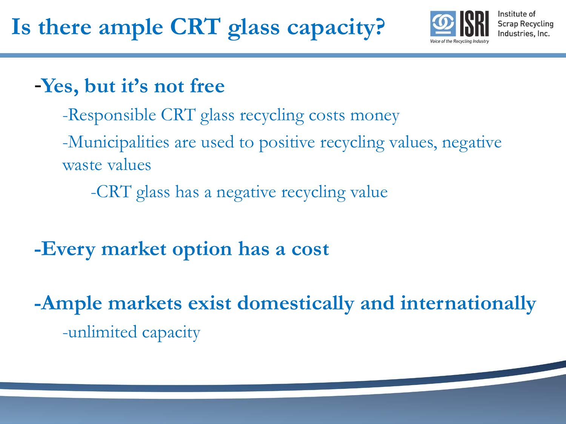

#### -**Yes, but it's not free**

- -Responsible CRT glass recycling costs money
- -Municipalities are used to positive recycling values, negative waste values
	- -CRT glass has a negative recycling value
- **-Every market option has a cost**
- **-Ample markets exist domestically and internationally**  -unlimited capacity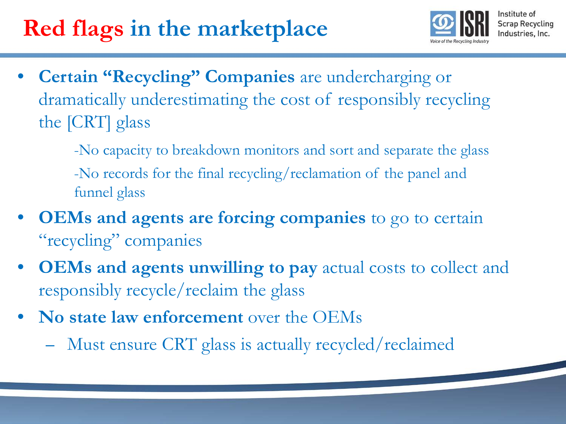## **Red flags in the marketplace**



- **Certain "Recycling" Companies** are undercharging or dramatically underestimating the cost of responsibly recycling the [CRT] glass
	- -No capacity to breakdown monitors and sort and separate the glass -No records for the final recycling/reclamation of the panel and funnel glass
- **OEMs and agents are forcing companies** to go to certain "recycling" companies
- **OEMs and agents unwilling to pay** actual costs to collect and responsibly recycle/reclaim the glass
- **No state law enforcement** over the OEMs
	- Must ensure CRT glass is actually recycled/reclaimed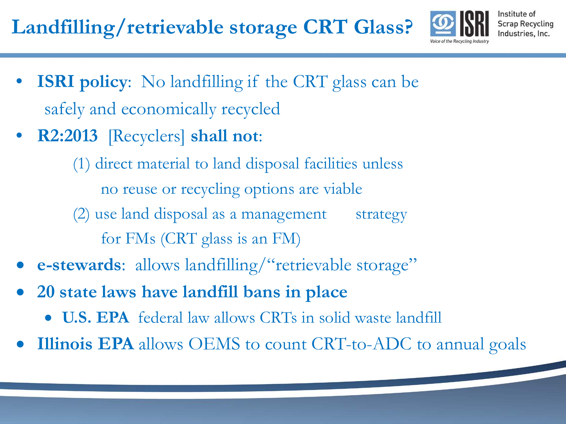**Landfilling/retrievable storage CRT Glass?**



Institute of **Scrap Recycling** Industries, Inc.

- **ISRI policy:** No landfilling if the CRT glass can be safely and economically recycled
- **R2:2013** [Recyclers] **shall not**:

(1) direct material to land disposal facilities unless no reuse or recycling options are viable (2) use land disposal as a management strategy for FMs (CRT glass is an FM)

- **e-stewards**: allows landfilling/"retrievable storage"
- **20 state laws have landfill bans in place**
	- **U.S. EPA** federal law allows CRTs in solid waste landfill
- **Illinois EPA** allows OEMS to count CRT-to-ADC to annual goals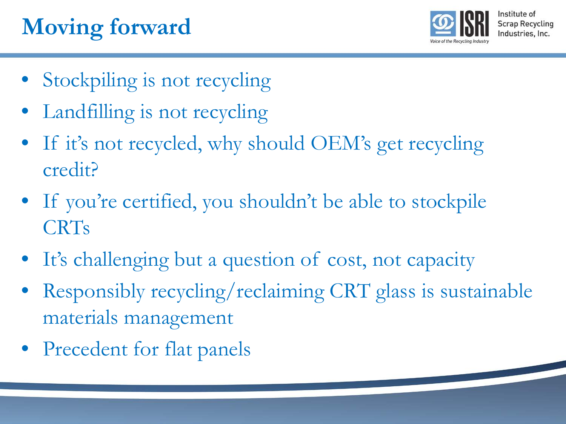## **Moving forward**



- Stockpiling is not recycling
- Landfilling is not recycling
- If it's not recycled, why should OEM's get recycling credit?
- If you're certified, you shouldn't be able to stockpile CRTs
- It's challenging but a question of cost, not capacity
- Responsibly recycling/reclaiming CRT glass is sustainable materials management
- Precedent for flat panels